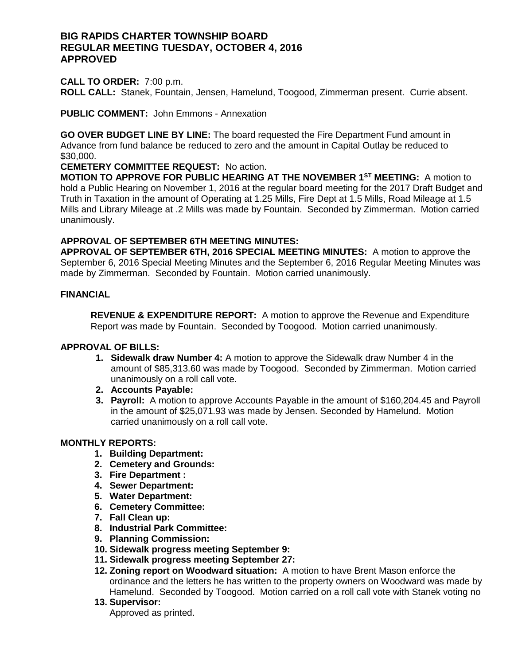# **BIG RAPIDS CHARTER TOWNSHIP BOARD REGULAR MEETING TUESDAY, OCTOBER 4, 2016 APPROVED**

#### **CALL TO ORDER:** 7:00 p.m.

**ROLL CALL:** Stanek, Fountain, Jensen, Hamelund, Toogood, Zimmerman present. Currie absent.

**PUBLIC COMMENT:** John Emmons - Annexation

**GO OVER BUDGET LINE BY LINE:** The board requested the Fire Department Fund amount in Advance from fund balance be reduced to zero and the amount in Capital Outlay be reduced to \$30,000.

**CEMETERY COMMITTEE REQUEST:** No action.

**MOTION TO APPROVE FOR PUBLIC HEARING AT THE NOVEMBER 1ST MEETING:** A motion to hold a Public Hearing on November 1, 2016 at the regular board meeting for the 2017 Draft Budget and Truth in Taxation in the amount of Operating at 1.25 Mills, Fire Dept at 1.5 Mills, Road Mileage at 1.5 Mills and Library Mileage at .2 Mills was made by Fountain. Seconded by Zimmerman. Motion carried unanimously.

### **APPROVAL OF SEPTEMBER 6TH MEETING MINUTES:**

**APPROVAL OF SEPTEMBER 6TH, 2016 SPECIAL MEETING MINUTES:** A motion to approve the September 6, 2016 Special Meeting Minutes and the September 6, 2016 Regular Meeting Minutes was made by Zimmerman. Seconded by Fountain. Motion carried unanimously.

#### **FINANCIAL**

**REVENUE & EXPENDITURE REPORT:** A motion to approve the Revenue and Expenditure Report was made by Fountain. Seconded by Toogood. Motion carried unanimously.

### **APPROVAL OF BILLS:**

- **1. Sidewalk draw Number 4:** A motion to approve the Sidewalk draw Number 4 in the amount of \$85,313.60 was made by Toogood. Seconded by Zimmerman. Motion carried unanimously on a roll call vote.
- **2. Accounts Payable:**
- **3. Payroll:** A motion to approve Accounts Payable in the amount of \$160,204.45 and Payroll in the amount of \$25,071.93 was made by Jensen. Seconded by Hamelund. Motion carried unanimously on a roll call vote.

# **MONTHLY REPORTS:**

- **1. Building Department:**
- **2. Cemetery and Grounds:**
- **3. Fire Department :**
- **4. Sewer Department:**
- **5. Water Department:**
- **6. Cemetery Committee:**
- **7. Fall Clean up:**
- **8. Industrial Park Committee:**
- **9. Planning Commission:**
- **10. Sidewalk progress meeting September 9:**
- **11. Sidewalk progress meeting September 27:**
- **12. Zoning report on Woodward situation:** A motion to have Brent Mason enforce the ordinance and the letters he has written to the property owners on Woodward was made by Hamelund. Seconded by Toogood. Motion carried on a roll call vote with Stanek voting no

### **13. Supervisor:**

Approved as printed.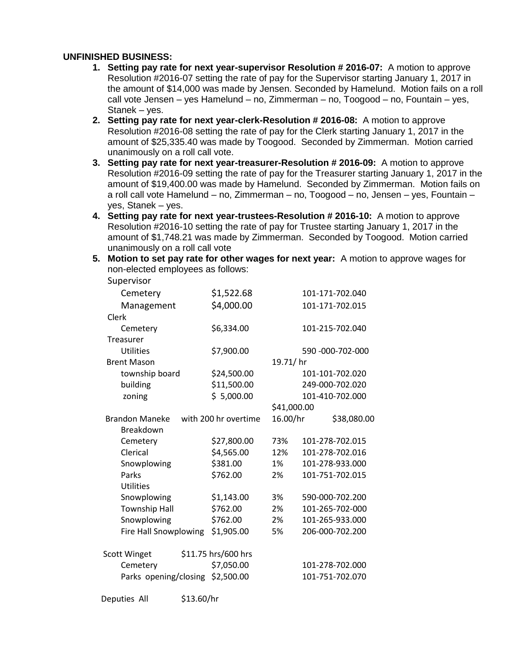### **UNFINISHED BUSINESS:**

- **1. Setting pay rate for next year-supervisor Resolution # 2016-07:** A motion to approve Resolution #2016-07 setting the rate of pay for the Supervisor starting January 1, 2017 in the amount of \$14,000 was made by Jensen. Seconded by Hamelund. Motion fails on a roll call vote Jensen – yes Hamelund – no, Zimmerman – no, Toogood – no, Fountain – yes, Stanek – yes.
- **2. Setting pay rate for next year-clerk-Resolution # 2016-08:** A motion to approve Resolution #2016-08 setting the rate of pay for the Clerk starting January 1, 2017 in the amount of \$25,335.40 was made by Toogood. Seconded by Zimmerman. Motion carried unanimously on a roll call vote.
- **3. Setting pay rate for next year-treasurer-Resolution # 2016-09:** A motion to approve Resolution #2016-09 setting the rate of pay for the Treasurer starting January 1, 2017 in the amount of \$19,400.00 was made by Hamelund. Seconded by Zimmerman. Motion fails on a roll call vote Hamelund – no, Zimmerman – no, Toogood – no, Jensen – yes, Fountain – yes, Stanek – yes.
- **4. Setting pay rate for next year-trustees-Resolution # 2016-10:** A motion to approve Resolution #2016-10 setting the rate of pay for Trustee starting January 1, 2017 in the amount of \$1,748.21 was made by Zimmerman. Seconded by Toogood. Motion carried unanimously on a roll call vote
- **5. Motion to set pay rate for other wages for next year:** A motion to approve wages for non-elected employees as follows:

Supervisor

| Supervisor            |                      |             |                  |
|-----------------------|----------------------|-------------|------------------|
| Cemetery              | \$1,522.68           |             | 101-171-702.040  |
| Management            | \$4,000.00           |             | 101-171-702.015  |
| Clerk                 |                      |             |                  |
| Cemetery              | \$6,334.00           |             | 101-215-702.040  |
| Treasurer             |                      |             |                  |
| Utilities             | \$7,900.00           |             | 590 -000-702-000 |
| <b>Brent Mason</b>    |                      | 19.71/hr    |                  |
| township board        | \$24,500.00          |             | 101-101-702.020  |
| building              | \$11,500.00          |             | 249-000-702.020  |
| zoning                | \$5,000.00           |             | 101-410-702.000  |
|                       |                      | \$41,000.00 |                  |
| <b>Brandon Maneke</b> | with 200 hr overtime | 16.00/hr    | \$38,080.00      |
| Breakdown             |                      |             |                  |
| Cemetery              | \$27,800.00          | 73%         | 101-278-702.015  |
| Clerical              | \$4,565.00           | 12%         | 101-278-702.016  |
| Snowplowing           | \$381.00             | 1%          | 101-278-933.000  |
| Parks                 | \$762.00             | 2%          | 101-751-702.015  |
| <b>Utilities</b>      |                      |             |                  |
| Snowplowing           | \$1,143.00           | 3%          | 590-000-702.200  |
| <b>Township Hall</b>  | \$762.00             | 2%          | 101-265-702-000  |
| Snowplowing           | \$762.00             | 2%          | 101-265-933.000  |
| Fire Hall Snowplowing | \$1,905.00           | 5%          | 206-000-702.200  |
| Scott Winget          | \$11.75 hrs/600 hrs  |             |                  |
| Cemetery              | \$7,050.00           |             | 101-278-702.000  |
| Parks opening/closing | \$2,500.00           |             | 101-751-702.070  |
|                       |                      |             |                  |

Deputies All \$13.60/hr